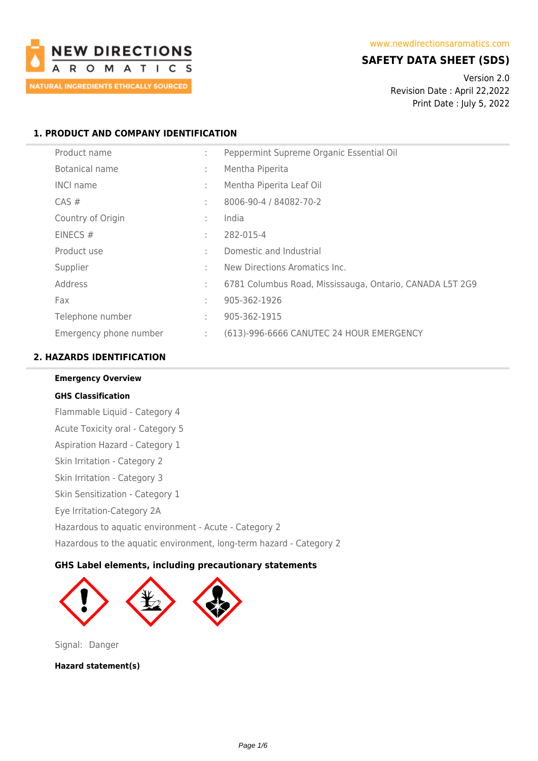

# **SAFETY DATA SHEET (SDS)**

Version 2.0 Revision Date : April 22,2022 Print Date : July 5, 2022

# **1. PRODUCT AND COMPANY IDENTIFICATION**

| Product name           | ÷ | Peppermint Supreme Organic Essential Oil                 |
|------------------------|---|----------------------------------------------------------|
| Botanical name         | ÷ | Mentha Piperita                                          |
| <b>INCI name</b>       | ÷ | Mentha Piperita Leaf Oil                                 |
| $CAS \#$               | ÷ | 8006-90-4 / 84082-70-2                                   |
| Country of Origin      | ÷ | India                                                    |
| EINECS $#$             | ÷ | 282-015-4                                                |
| Product use            | ÷ | Domestic and Industrial                                  |
| Supplier               | ÷ | New Directions Aromatics Inc.                            |
| Address                | ÷ | 6781 Columbus Road, Mississauga, Ontario, CANADA L5T 2G9 |
| Fax                    | ÷ | 905-362-1926                                             |
| Telephone number       | ÷ | 905-362-1915                                             |
| Emergency phone number | ÷ | (613)-996-6666 CANUTEC 24 HOUR EMERGENCY                 |

# **2. HAZARDS IDENTIFICATION**

# **Emergency Overview GHS Classification** Flammable Liquid - Category 4 Acute Toxicity oral - Category 5 Aspiration Hazard - Category 1 Skin Irritation - Category 2 Skin Irritation - Category 3 Skin Sensitization - Category 1 Eye Irritation-Category 2A Hazardous to aquatic environment - Acute - Category 2 Hazardous to the aquatic environment, long-term hazard - Category 2

# **GHS Label elements, including precautionary statements**



Signal: Danger

**Hazard statement(s)**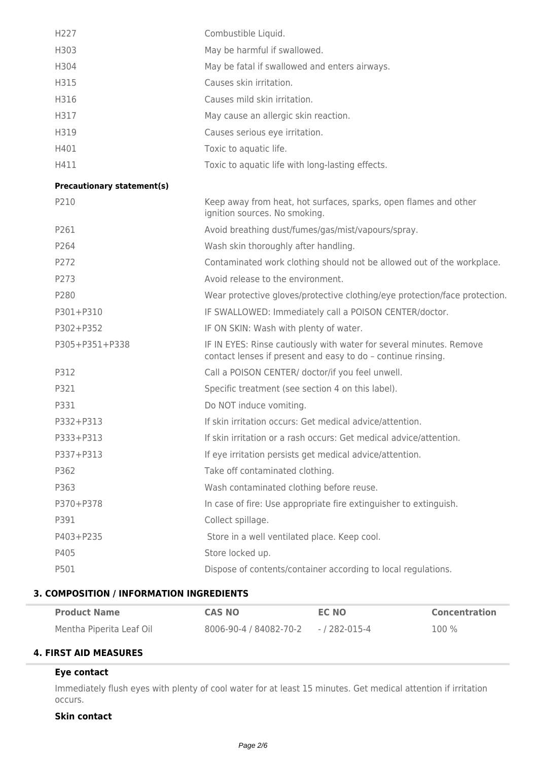| H227                              | Combustible Liquid.                                                                                                                 |
|-----------------------------------|-------------------------------------------------------------------------------------------------------------------------------------|
| H303                              | May be harmful if swallowed.                                                                                                        |
| H304                              | May be fatal if swallowed and enters airways.                                                                                       |
| H315                              | Causes skin irritation.                                                                                                             |
| H316                              | Causes mild skin irritation.                                                                                                        |
| H317                              | May cause an allergic skin reaction.                                                                                                |
| H319                              | Causes serious eye irritation.                                                                                                      |
| H401                              | Toxic to aquatic life.                                                                                                              |
| H411                              | Toxic to aquatic life with long-lasting effects.                                                                                    |
| <b>Precautionary statement(s)</b> |                                                                                                                                     |
| P210                              | Keep away from heat, hot surfaces, sparks, open flames and other<br>ignition sources. No smoking.                                   |
| P261                              | Avoid breathing dust/fumes/gas/mist/vapours/spray.                                                                                  |
| P264                              | Wash skin thoroughly after handling.                                                                                                |
| P272                              | Contaminated work clothing should not be allowed out of the workplace.                                                              |
| P273                              | Avoid release to the environment.                                                                                                   |
| P280                              | Wear protective gloves/protective clothing/eye protection/face protection.                                                          |
| P301+P310                         | IF SWALLOWED: Immediately call a POISON CENTER/doctor.                                                                              |
| P302+P352                         | IF ON SKIN: Wash with plenty of water.                                                                                              |
| P305+P351+P338                    | IF IN EYES: Rinse cautiously with water for several minutes. Remove<br>contact lenses if present and easy to do - continue rinsing. |
| P312                              | Call a POISON CENTER/ doctor/if you feel unwell.                                                                                    |
| P321                              | Specific treatment (see section 4 on this label).                                                                                   |
| P331                              | Do NOT induce vomiting.                                                                                                             |
| P332+P313                         | If skin irritation occurs: Get medical advice/attention.                                                                            |
| P333+P313                         | If skin irritation or a rash occurs: Get medical advice/attention.                                                                  |
| P337+P313                         | If eye irritation persists get medical advice/attention.                                                                            |
| P362                              | Take off contaminated clothing.                                                                                                     |
| P363                              | Wash contaminated clothing before reuse.                                                                                            |
| P370+P378                         | In case of fire: Use appropriate fire extinguisher to extinguish.                                                                   |
| P391                              | Collect spillage.                                                                                                                   |
| P403+P235                         | Store in a well ventilated place. Keep cool.                                                                                        |
| P405                              | Store locked up.                                                                                                                    |
| P501                              | Dispose of contents/container according to local regulations.                                                                       |
|                                   |                                                                                                                                     |

# **3. COMPOSITION / INFORMATION INGREDIENTS**

| <b>Product Name</b>      | <b>CAS NO</b>                                             | EC NO | <b>Concentration</b> |
|--------------------------|-----------------------------------------------------------|-------|----------------------|
| Mentha Piperita Leaf Oil | $8006 - 90 - 4 / 84082 - 70 - 2 \qquad - / 282 - 015 - 4$ |       | 100 %                |

# **4. FIRST AID MEASURES**

# **Eye contact**

Immediately flush eyes with plenty of cool water for at least 15 minutes. Get medical attention if irritation occurs.

# **Skin contact**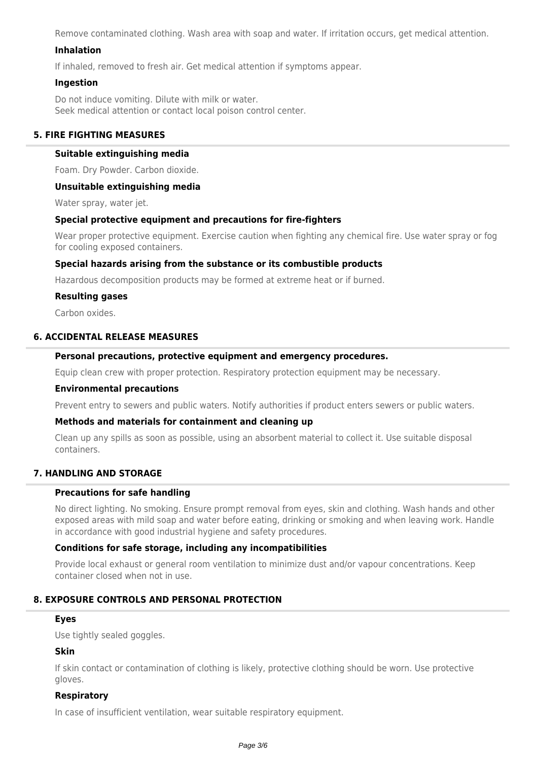Remove contaminated clothing. Wash area with soap and water. If irritation occurs, get medical attention.

# **Inhalation**

If inhaled, removed to fresh air. Get medical attention if symptoms appear.

#### **Ingestion**

Do not induce vomiting. Dilute with milk or water. Seek medical attention or contact local poison control center.

# **5. FIRE FIGHTING MEASURES**

#### **Suitable extinguishing media**

Foam. Dry Powder. Carbon dioxide.

#### **Unsuitable extinguishing media**

Water spray, water jet.

#### **Special protective equipment and precautions for fire-fighters**

Wear proper protective equipment. Exercise caution when fighting any chemical fire. Use water spray or fog for cooling exposed containers.

#### **Special hazards arising from the substance or its combustible products**

Hazardous decomposition products may be formed at extreme heat or if burned.

#### **Resulting gases**

Carbon oxides.

# **6. ACCIDENTAL RELEASE MEASURES**

#### **Personal precautions, protective equipment and emergency procedures.**

Equip clean crew with proper protection. Respiratory protection equipment may be necessary.

#### **Environmental precautions**

Prevent entry to sewers and public waters. Notify authorities if product enters sewers or public waters.

#### **Methods and materials for containment and cleaning up**

Clean up any spills as soon as possible, using an absorbent material to collect it. Use suitable disposal containers.

# **7. HANDLING AND STORAGE**

#### **Precautions for safe handling**

No direct lighting. No smoking. Ensure prompt removal from eyes, skin and clothing. Wash hands and other exposed areas with mild soap and water before eating, drinking or smoking and when leaving work. Handle in accordance with good industrial hygiene and safety procedures.

#### **Conditions for safe storage, including any incompatibilities**

Provide local exhaust or general room ventilation to minimize dust and/or vapour concentrations. Keep container closed when not in use.

# **8. EXPOSURE CONTROLS AND PERSONAL PROTECTION**

#### **Eyes**

Use tightly sealed goggles.

#### **Skin**

If skin contact or contamination of clothing is likely, protective clothing should be worn. Use protective gloves.

#### **Respiratory**

In case of insufficient ventilation, wear suitable respiratory equipment.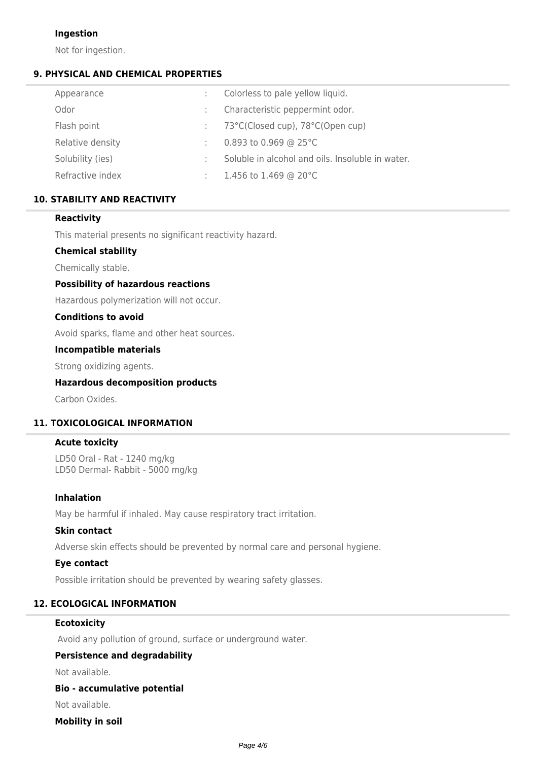# **Ingestion**

Not for ingestion.

# **9. PHYSICAL AND CHEMICAL PROPERTIES**

| Appearance       | Colorless to pale yellow liquid.                 |
|------------------|--------------------------------------------------|
| Odor             | Characteristic peppermint odor.                  |
| Flash point      | 73°C(Closed cup), 78°C(Open cup)                 |
| Relative density | 0.893 to 0.969 @ 25 $^{\circ}$ C                 |
| Solubility (ies) | Soluble in alcohol and oils. Insoluble in water. |
| Refractive index | 1.456 to 1.469 @ 20 $^{\circ}$ C                 |

# **10. STABILITY AND REACTIVITY**

# **Reactivity**

This material presents no significant reactivity hazard.

# **Chemical stability**

Chemically stable.

# **Possibility of hazardous reactions**

Hazardous polymerization will not occur.

#### **Conditions to avoid**

Avoid sparks, flame and other heat sources.

#### **Incompatible materials**

Strong oxidizing agents.

# **Hazardous decomposition products**

Carbon Oxides.

# **11. TOXICOLOGICAL INFORMATION**

#### **Acute toxicity**

LD50 Oral - Rat - 1240 mg/kg LD50 Dermal- Rabbit - 5000 mg/kg

#### **Inhalation**

May be harmful if inhaled. May cause respiratory tract irritation.

#### **Skin contact**

Adverse skin effects should be prevented by normal care and personal hygiene.

# **Eye contact**

Possible irritation should be prevented by wearing safety glasses.

# **12. ECOLOGICAL INFORMATION**

### **Ecotoxicity**

Avoid any pollution of ground, surface or underground water.

# **Persistence and degradability**

Not available.

#### **Bio - accumulative potential**

Not available.

# **Mobility in soil**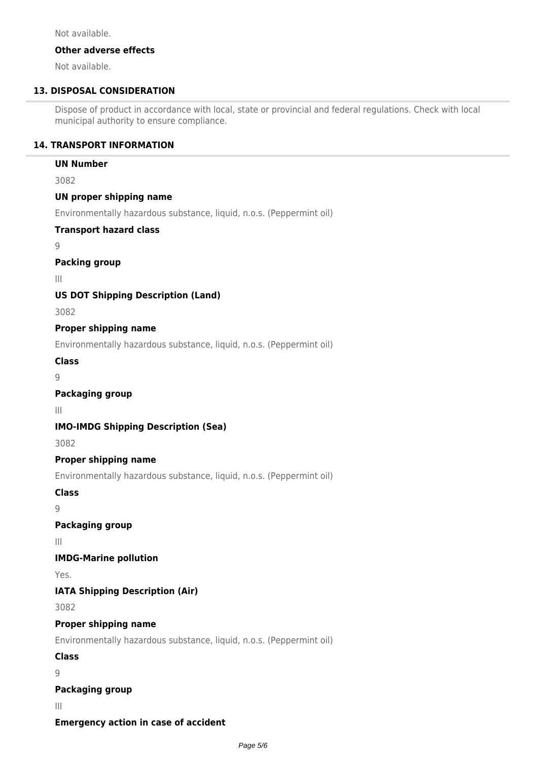Not available.

#### **Other adverse effects**

Not available.

# **13. DISPOSAL CONSIDERATION**

Dispose of product in accordance with local, state or provincial and federal regulations. Check with local municipal authority to ensure compliance.

# **14. TRANSPORT INFORMATION**

### **UN Number**

3082

# **UN proper shipping name**

Environmentally hazardous substance, liquid, n.o.s. (Peppermint oil)

#### **Transport hazard class**

9

# **Packing group**

III

# **US DOT Shipping Description (Land)**

3082

# **Proper shipping name**

Environmentally hazardous substance, liquid, n.o.s. (Peppermint oil)

**Class**

 $\overline{Q}$ 

# **Packaging group**

III

# **IMO-IMDG Shipping Description (Sea)**

3082

# **Proper shipping name**

Environmentally hazardous substance, liquid, n.o.s. (Peppermint oil)

# **Class**

 $\overline{Q}$ 

# **Packaging group**

III

# **IMDG-Marine pollution**

Yes.

# **IATA Shipping Description (Air)**

3082

# **Proper shipping name**

Environmentally hazardous substance, liquid, n.o.s. (Peppermint oil)

# **Class**

9

# **Packaging group**

III

# **Emergency action in case of accident**